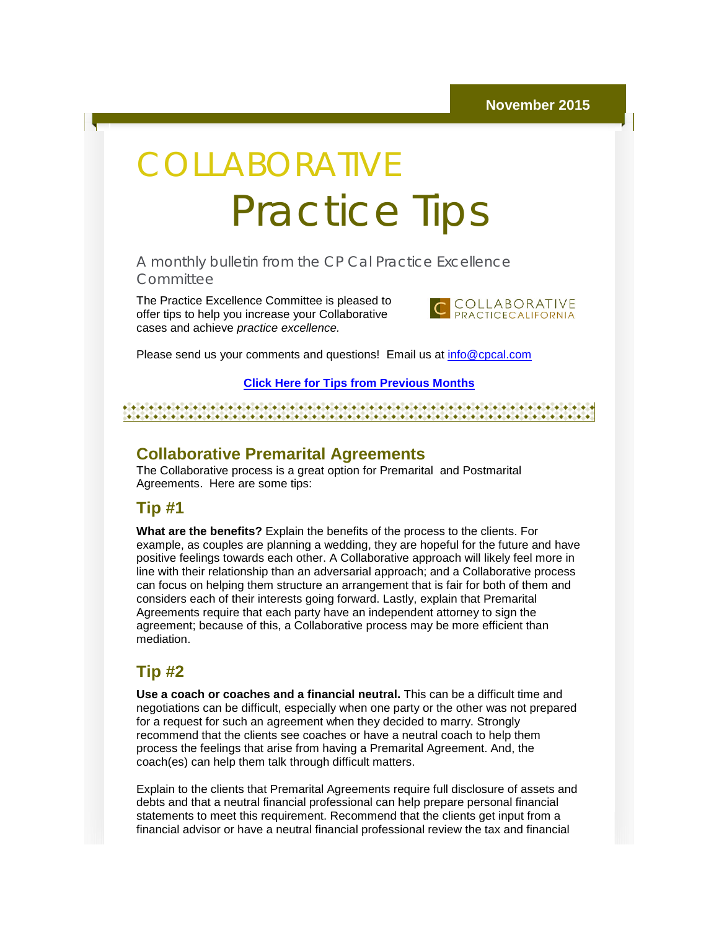# COLLABORATIVE Practice Tips

A monthly bulletin from the CP Cal Practice Excellence **Committee** 

The Practice Excellence Committee is pleased to offer tips to help you increase your Collaborative cases and achieve *practice excellence.*



Please send us your comments and questions! Email us at [info@cpcal.com](mailto:info@cpcal.com)

#### **[Click Here for Tips from Previous Months](http://r20.rs6.net/tn.jsp?f=001neXqCurxBIuz7cN41u5xQ1LGWlqb2CjgNG2kxBHhO7Hq2D_gHiviYoUqviwG1-xLsPR67H7Thm5OkT81tvq0Zf_U6jSH19zWRo-RnghmrPe1R8R9l2uZzytXQmYCnmtZ5CGfM3NWA82ea6h6-pQoLrmipWHJuxquC8CORHpnvsTJDSOWhGxgPPIIJZ8UlowpX0Ho1WC6btP-0HrVj5W228-q4z8VcuwztMaODKSV7JioOXaVT4ks-g==&c=CZHUt5DFPLRfuCdd2osGVMVNJGH-Agk-naUIgB55hn0-4JFOjWruiw==&ch=ohCPZ-Yqf53oaWvJGFPq9essyk2zEezUjRaqaGhLyV7ScqUJgElCRw==)**

#### 

#### **Collaborative Premarital Agreements**

The Collaborative process is a great option for Premarital and Postmarital Agreements. Here are some tips:

#### **Tip #1**

**What are the benefits?** Explain the benefits of the process to the clients. For example, as couples are planning a wedding, they are hopeful for the future and have positive feelings towards each other. A Collaborative approach will likely feel more in line with their relationship than an adversarial approach; and a Collaborative process can focus on helping them structure an arrangement that is fair for both of them and considers each of their interests going forward. Lastly, explain that Premarital Agreements require that each party have an independent attorney to sign the agreement; because of this, a Collaborative process may be more efficient than mediation.

#### **Tip #2**

**Use a coach or coaches and a financial neutral.** This can be a difficult time and negotiations can be difficult, especially when one party or the other was not prepared for a request for such an agreement when they decided to marry. Strongly recommend that the clients see coaches or have a neutral coach to help them process the feelings that arise from having a Premarital Agreement. And, the coach(es) can help them talk through difficult matters.

Explain to the clients that Premarital Agreements require full disclosure of assets and debts and that a neutral financial professional can help prepare personal financial statements to meet this requirement. Recommend that the clients get input from a financial advisor or have a neutral financial professional review the tax and financial